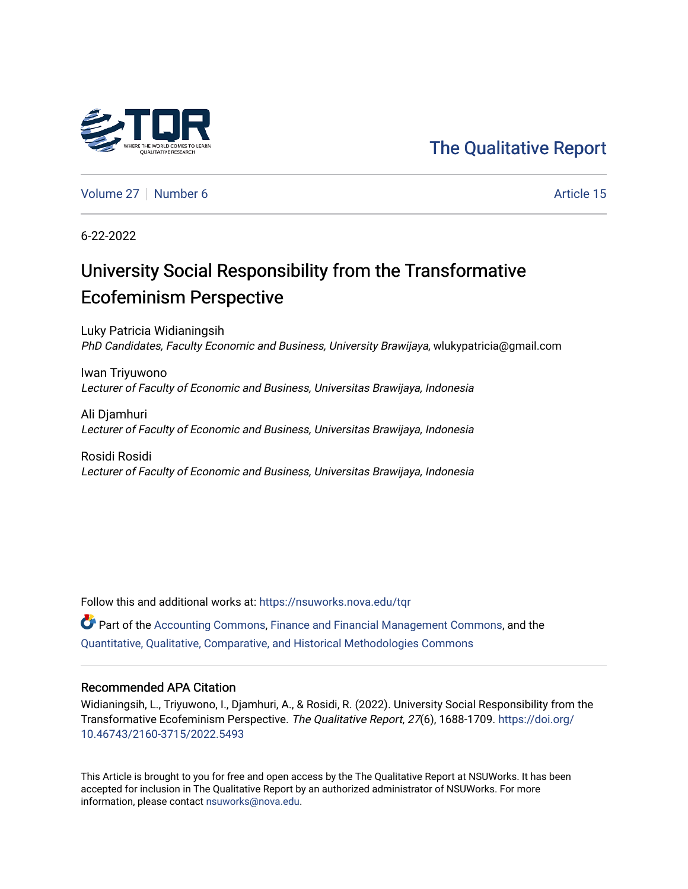## [The Qualitative Report](https://nsuworks.nova.edu/tqr)

[Volume 27](https://nsuworks.nova.edu/tqr/vol27) [Number 6](https://nsuworks.nova.edu/tqr/vol27/iss6) Article 15

6-22-2022

# University Social Responsibility from the Transformative Ecofeminism Perspective

Luky Patricia Widianingsih PhD Candidates, Faculty Economic and Business, University Brawijaya, wlukypatricia@gmail.com

Iwan Triyuwono Lecturer of Faculty of Economic and Business, Universitas Brawijaya, Indonesia

Ali Djamhuri Lecturer of Faculty of Economic and Business, Universitas Brawijaya, Indonesia

Rosidi Rosidi Lecturer of Faculty of Economic and Business, Universitas Brawijaya, Indonesia

Follow this and additional works at: [https://nsuworks.nova.edu/tqr](https://nsuworks.nova.edu/tqr?utm_source=nsuworks.nova.edu%2Ftqr%2Fvol27%2Fiss6%2F15&utm_medium=PDF&utm_campaign=PDFCoverPages) 

Part of the [Accounting Commons](https://network.bepress.com/hgg/discipline/625?utm_source=nsuworks.nova.edu%2Ftqr%2Fvol27%2Fiss6%2F15&utm_medium=PDF&utm_campaign=PDFCoverPages), [Finance and Financial Management Commons](https://network.bepress.com/hgg/discipline/631?utm_source=nsuworks.nova.edu%2Ftqr%2Fvol27%2Fiss6%2F15&utm_medium=PDF&utm_campaign=PDFCoverPages), and the [Quantitative, Qualitative, Comparative, and Historical Methodologies Commons](https://network.bepress.com/hgg/discipline/423?utm_source=nsuworks.nova.edu%2Ftqr%2Fvol27%2Fiss6%2F15&utm_medium=PDF&utm_campaign=PDFCoverPages) 

#### Recommended APA Citation

Widianingsih, L., Triyuwono, I., Djamhuri, A., & Rosidi, R. (2022). University Social Responsibility from the Transformative Ecofeminism Perspective. The Qualitative Report, 27(6), 1688-1709. [https://doi.org/](https://doi.org/10.46743/2160-3715/2022.5493) [10.46743/2160-3715/2022.5493](https://doi.org/10.46743/2160-3715/2022.5493)

This Article is brought to you for free and open access by the The Qualitative Report at NSUWorks. It has been accepted for inclusion in The Qualitative Report by an authorized administrator of NSUWorks. For more information, please contact [nsuworks@nova.edu.](mailto:nsuworks@nova.edu)

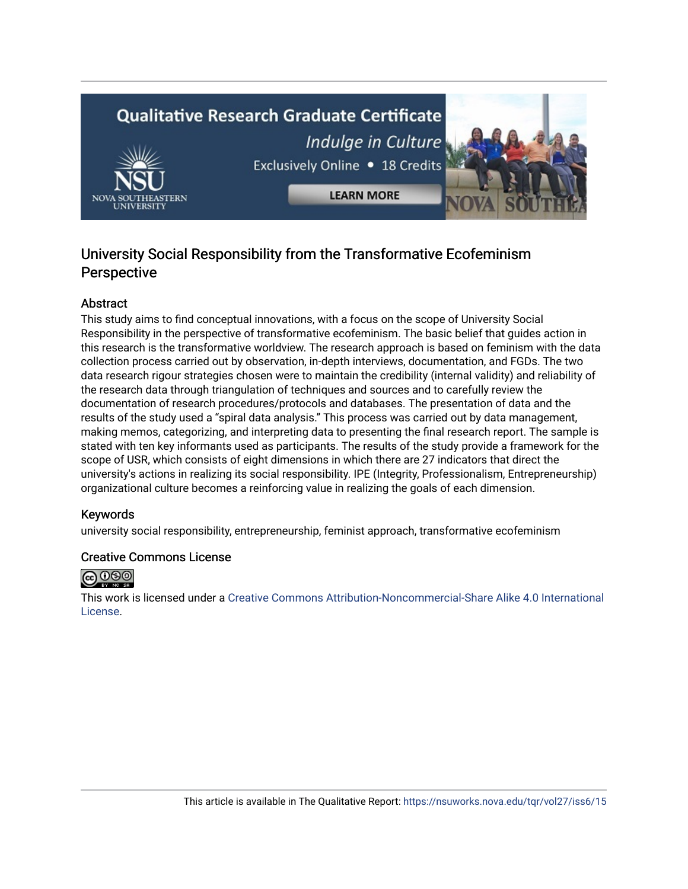# **Qualitative Research Graduate Certificate** Indulge in Culture Exclusively Online . 18 Credits **LEARN MORE**

### University Social Responsibility from the Transformative Ecofeminism Perspective

#### Abstract

This study aims to find conceptual innovations, with a focus on the scope of University Social Responsibility in the perspective of transformative ecofeminism. The basic belief that guides action in this research is the transformative worldview. The research approach is based on feminism with the data collection process carried out by observation, in-depth interviews, documentation, and FGDs. The two data research rigour strategies chosen were to maintain the credibility (internal validity) and reliability of the research data through triangulation of techniques and sources and to carefully review the documentation of research procedures/protocols and databases. The presentation of data and the results of the study used a "spiral data analysis." This process was carried out by data management, making memos, categorizing, and interpreting data to presenting the final research report. The sample is stated with ten key informants used as participants. The results of the study provide a framework for the scope of USR, which consists of eight dimensions in which there are 27 indicators that direct the university's actions in realizing its social responsibility. IPE (Integrity, Professionalism, Entrepreneurship) organizational culture becomes a reinforcing value in realizing the goals of each dimension.

#### Keywords

university social responsibility, entrepreneurship, feminist approach, transformative ecofeminism

#### Creative Commons License



This work is licensed under a [Creative Commons Attribution-Noncommercial-Share Alike 4.0 International](https://creativecommons.org/licenses/by-nc-sa/4.0/)  [License](https://creativecommons.org/licenses/by-nc-sa/4.0/).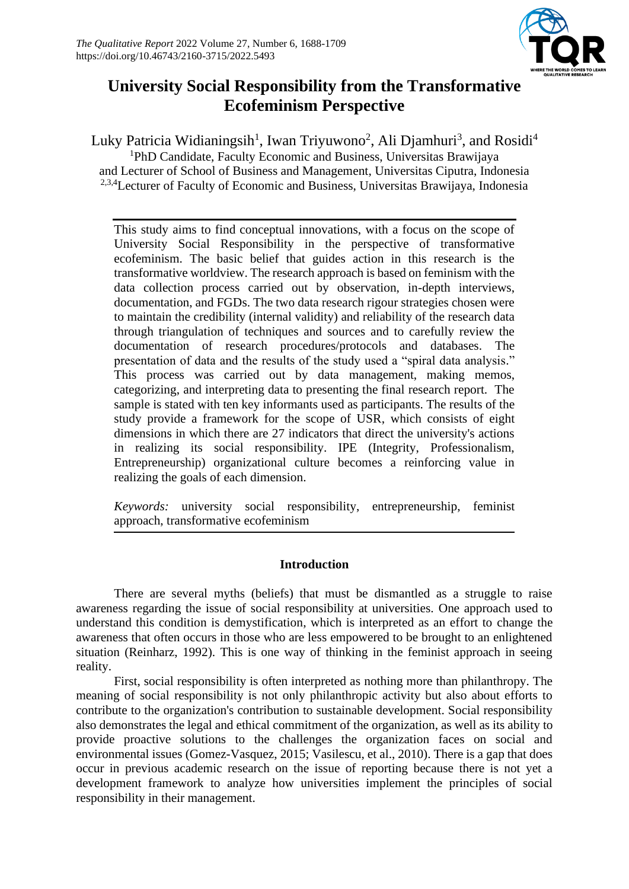

## **University Social Responsibility from the Transformative Ecofeminism Perspective**

Luky Patricia Widianingsih<sup>1</sup>, Iwan Triyuwono<sup>2</sup>, Ali Djamhuri<sup>3</sup>, and Rosidi<sup>4</sup> <sup>1</sup>PhD Candidate, Faculty Economic and Business, Universitas Brawijaya and Lecturer of School of Business and Management, Universitas Ciputra, Indonesia <sup>2,3,4</sup>Lecturer of Faculty of Economic and Business, Universitas Brawijaya, Indonesia

This study aims to find conceptual innovations, with a focus on the scope of University Social Responsibility in the perspective of transformative ecofeminism. The basic belief that guides action in this research is the transformative worldview. The research approach is based on feminism with the data collection process carried out by observation, in-depth interviews, documentation, and FGDs. The two data research rigour strategies chosen were to maintain the credibility (internal validity) and reliability of the research data through triangulation of techniques and sources and to carefully review the documentation of research procedures/protocols and databases. The presentation of data and the results of the study used a "spiral data analysis." This process was carried out by data management, making memos, categorizing, and interpreting data to presenting the final research report. The sample is stated with ten key informants used as participants. The results of the study provide a framework for the scope of USR, which consists of eight dimensions in which there are 27 indicators that direct the university's actions in realizing its social responsibility. IPE (Integrity, Professionalism, Entrepreneurship) organizational culture becomes a reinforcing value in realizing the goals of each dimension.

*Keywords:* university social responsibility, entrepreneurship, feminist approach, transformative ecofeminism

#### **Introduction**

There are several myths (beliefs) that must be dismantled as a struggle to raise awareness regarding the issue of social responsibility at universities. One approach used to understand this condition is demystification, which is interpreted as an effort to change the awareness that often occurs in those who are less empowered to be brought to an enlightened situation (Reinharz, 1992). This is one way of thinking in the feminist approach in seeing reality.

First, social responsibility is often interpreted as nothing more than philanthropy. The meaning of social responsibility is not only philanthropic activity but also about efforts to contribute to the organization's contribution to sustainable development. Social responsibility also demonstrates the legal and ethical commitment of the organization, as well as its ability to provide proactive solutions to the challenges the organization faces on social and environmental issues (Gomez-Vasquez, 2015; Vasilescu, et al., 2010). There is a gap that does occur in previous academic research on the issue of reporting because there is not yet a development framework to analyze how universities implement the principles of social responsibility in their management.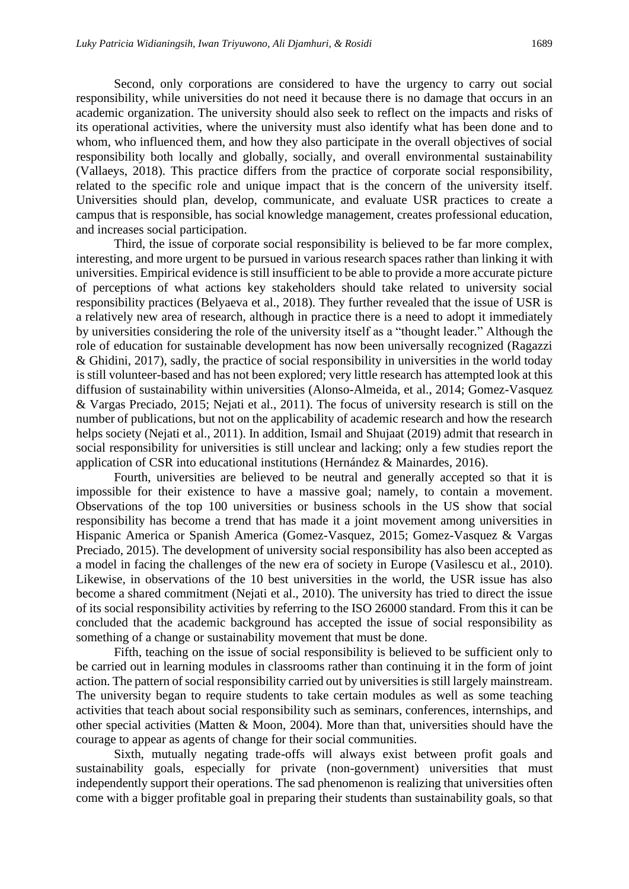Second, only corporations are considered to have the urgency to carry out social responsibility, while universities do not need it because there is no damage that occurs in an academic organization. The university should also seek to reflect on the impacts and risks of its operational activities, where the university must also identify what has been done and to whom, who influenced them, and how they also participate in the overall objectives of social responsibility both locally and globally, socially, and overall environmental sustainability (Vallaeys, 2018). This practice differs from the practice of corporate social responsibility, related to the specific role and unique impact that is the concern of the university itself. Universities should plan, develop, communicate, and evaluate USR practices to create a campus that is responsible, has social knowledge management, creates professional education, and increases social participation.

Third, the issue of corporate social responsibility is believed to be far more complex, interesting, and more urgent to be pursued in various research spaces rather than linking it with universities. Empirical evidence is still insufficient to be able to provide a more accurate picture of perceptions of what actions key stakeholders should take related to university social responsibility practices (Belyaeva et al., 2018). They further revealed that the issue of USR is a relatively new area of research, although in practice there is a need to adopt it immediately by universities considering the role of the university itself as a "thought leader." Although the role of education for sustainable development has now been universally recognized (Ragazzi & Ghidini, 2017), sadly, the practice of social responsibility in universities in the world today is still volunteer-based and has not been explored; very little research has attempted look at this diffusion of sustainability within universities (Alonso-Almeida, et al., 2014; Gomez-Vasquez & Vargas Preciado, 2015; Nejati et al., 2011). The focus of university research is still on the number of publications, but not on the applicability of academic research and how the research helps society (Nejati et al., 2011). In addition, Ismail and Shujaat (2019) admit that research in social responsibility for universities is still unclear and lacking; only a few studies report the application of CSR into educational institutions (Hernández & Mainardes, 2016).

Fourth, universities are believed to be neutral and generally accepted so that it is impossible for their existence to have a massive goal; namely, to contain a movement. Observations of the top 100 universities or business schools in the US show that social responsibility has become a trend that has made it a joint movement among universities in Hispanic America or Spanish America (Gomez-Vasquez, 2015; Gomez-Vasquez & Vargas Preciado, 2015). The development of university social responsibility has also been accepted as a model in facing the challenges of the new era of society in Europe (Vasilescu et al., 2010). Likewise, in observations of the 10 best universities in the world, the USR issue has also become a shared commitment (Nejati et al., 2010). The university has tried to direct the issue of its social responsibility activities by referring to the ISO 26000 standard. From this it can be concluded that the academic background has accepted the issue of social responsibility as something of a change or sustainability movement that must be done.

Fifth, teaching on the issue of social responsibility is believed to be sufficient only to be carried out in learning modules in classrooms rather than continuing it in the form of joint action. The pattern of social responsibility carried out by universities is still largely mainstream. The university began to require students to take certain modules as well as some teaching activities that teach about social responsibility such as seminars, conferences, internships, and other special activities (Matten & Moon, 2004). More than that, universities should have the courage to appear as agents of change for their social communities.

Sixth, mutually negating trade-offs will always exist between profit goals and sustainability goals, especially for private (non-government) universities that must independently support their operations. The sad phenomenon is realizing that universities often come with a bigger profitable goal in preparing their students than sustainability goals, so that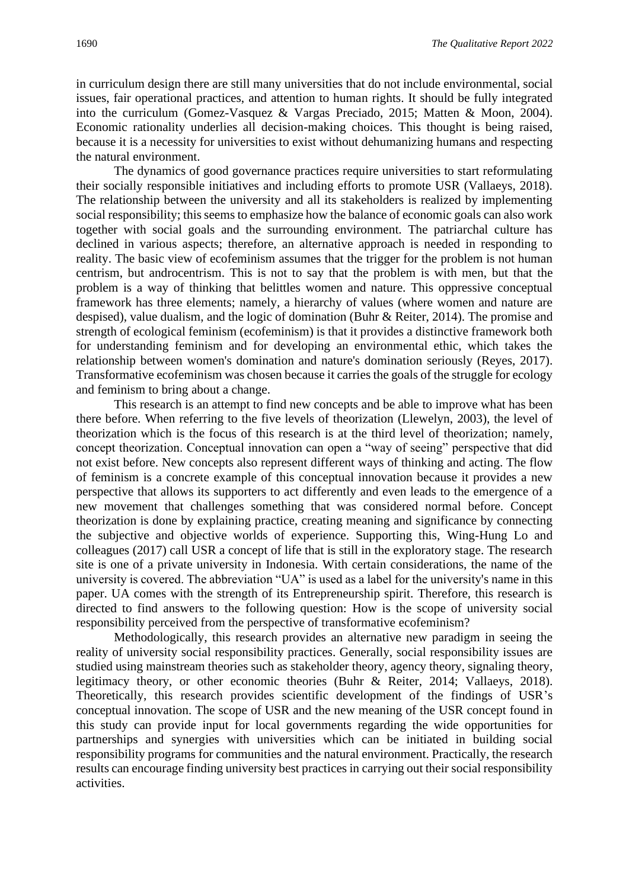in curriculum design there are still many universities that do not include environmental, social issues, fair operational practices, and attention to human rights. It should be fully integrated into the curriculum (Gomez-Vasquez & Vargas Preciado, 2015; Matten & Moon, 2004). Economic rationality underlies all decision-making choices. This thought is being raised, because it is a necessity for universities to exist without dehumanizing humans and respecting the natural environment.

The dynamics of good governance practices require universities to start reformulating their socially responsible initiatives and including efforts to promote USR (Vallaeys, 2018). The relationship between the university and all its stakeholders is realized by implementing social responsibility; this seems to emphasize how the balance of economic goals can also work together with social goals and the surrounding environment. The patriarchal culture has declined in various aspects; therefore, an alternative approach is needed in responding to reality. The basic view of ecofeminism assumes that the trigger for the problem is not human centrism, but androcentrism. This is not to say that the problem is with men, but that the problem is a way of thinking that belittles women and nature. This oppressive conceptual framework has three elements; namely, a hierarchy of values (where women and nature are despised), value dualism, and the logic of domination (Buhr & Reiter, 2014). The promise and strength of ecological feminism (ecofeminism) is that it provides a distinctive framework both for understanding feminism and for developing an environmental ethic, which takes the relationship between women's domination and nature's domination seriously (Reyes, 2017). Transformative ecofeminism was chosen because it carries the goals of the struggle for ecology and feminism to bring about a change.

This research is an attempt to find new concepts and be able to improve what has been there before. When referring to the five levels of theorization (Llewelyn, 2003), the level of theorization which is the focus of this research is at the third level of theorization; namely, concept theorization. Conceptual innovation can open a "way of seeing" perspective that did not exist before. New concepts also represent different ways of thinking and acting. The flow of feminism is a concrete example of this conceptual innovation because it provides a new perspective that allows its supporters to act differently and even leads to the emergence of a new movement that challenges something that was considered normal before. Concept theorization is done by explaining practice, creating meaning and significance by connecting the subjective and objective worlds of experience. Supporting this, Wing-Hung Lo and colleagues (2017) call USR a concept of life that is still in the exploratory stage. The research site is one of a private university in Indonesia. With certain considerations, the name of the university is covered. The abbreviation "UA" is used as a label for the university's name in this paper. UA comes with the strength of its Entrepreneurship spirit. Therefore, this research is directed to find answers to the following question: How is the scope of university social responsibility perceived from the perspective of transformative ecofeminism?

Methodologically, this research provides an alternative new paradigm in seeing the reality of university social responsibility practices. Generally, social responsibility issues are studied using mainstream theories such as stakeholder theory, agency theory, signaling theory, legitimacy theory, or other economic theories (Buhr & Reiter, 2014; Vallaeys, 2018). Theoretically, this research provides scientific development of the findings of USR's conceptual innovation. The scope of USR and the new meaning of the USR concept found in this study can provide input for local governments regarding the wide opportunities for partnerships and synergies with universities which can be initiated in building social responsibility programs for communities and the natural environment. Practically, the research results can encourage finding university best practices in carrying out their social responsibility activities.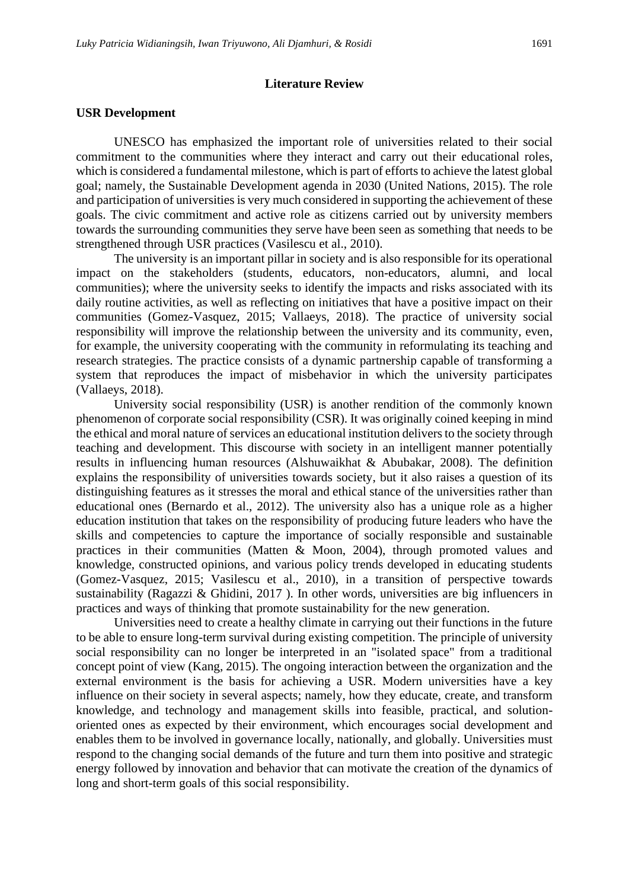#### **Literature Review**

#### **USR Development**

UNESCO has emphasized the important role of universities related to their social commitment to the communities where they interact and carry out their educational roles, which is considered a fundamental milestone, which is part of efforts to achieve the latest global goal; namely, the Sustainable Development agenda in 2030 (United Nations, 2015). The role and participation of universities is very much considered in supporting the achievement of these goals. The civic commitment and active role as citizens carried out by university members towards the surrounding communities they serve have been seen as something that needs to be strengthened through USR practices (Vasilescu et al., 2010).

The university is an important pillar in society and is also responsible for its operational impact on the stakeholders (students, educators, non-educators, alumni, and local communities); where the university seeks to identify the impacts and risks associated with its daily routine activities, as well as reflecting on initiatives that have a positive impact on their communities (Gomez-Vasquez, 2015; Vallaeys, 2018). The practice of university social responsibility will improve the relationship between the university and its community, even, for example, the university cooperating with the community in reformulating its teaching and research strategies. The practice consists of a dynamic partnership capable of transforming a system that reproduces the impact of misbehavior in which the university participates (Vallaeys, 2018).

University social responsibility (USR) is another rendition of the commonly known phenomenon of corporate social responsibility (CSR). It was originally coined keeping in mind the ethical and moral nature of services an educational institution delivers to the society through teaching and development. This discourse with society in an intelligent manner potentially results in influencing human resources (Alshuwaikhat & Abubakar, 2008). The definition explains the responsibility of universities towards society, but it also raises a question of its distinguishing features as it stresses the moral and ethical stance of the universities rather than educational ones (Bernardo et al., 2012). The university also has a unique role as a higher education institution that takes on the responsibility of producing future leaders who have the skills and competencies to capture the importance of socially responsible and sustainable practices in their communities (Matten & Moon, 2004), through promoted values and knowledge, constructed opinions, and various policy trends developed in educating students (Gomez-Vasquez, 2015; Vasilescu et al., 2010), in a transition of perspective towards sustainability (Ragazzi & Ghidini, 2017 ). In other words, universities are big influencers in practices and ways of thinking that promote sustainability for the new generation.

Universities need to create a healthy climate in carrying out their functions in the future to be able to ensure long-term survival during existing competition. The principle of university social responsibility can no longer be interpreted in an "isolated space" from a traditional concept point of view (Kang, 2015). The ongoing interaction between the organization and the external environment is the basis for achieving a USR. Modern universities have a key influence on their society in several aspects; namely, how they educate, create, and transform knowledge, and technology and management skills into feasible, practical, and solutionoriented ones as expected by their environment, which encourages social development and enables them to be involved in governance locally, nationally, and globally. Universities must respond to the changing social demands of the future and turn them into positive and strategic energy followed by innovation and behavior that can motivate the creation of the dynamics of long and short-term goals of this social responsibility.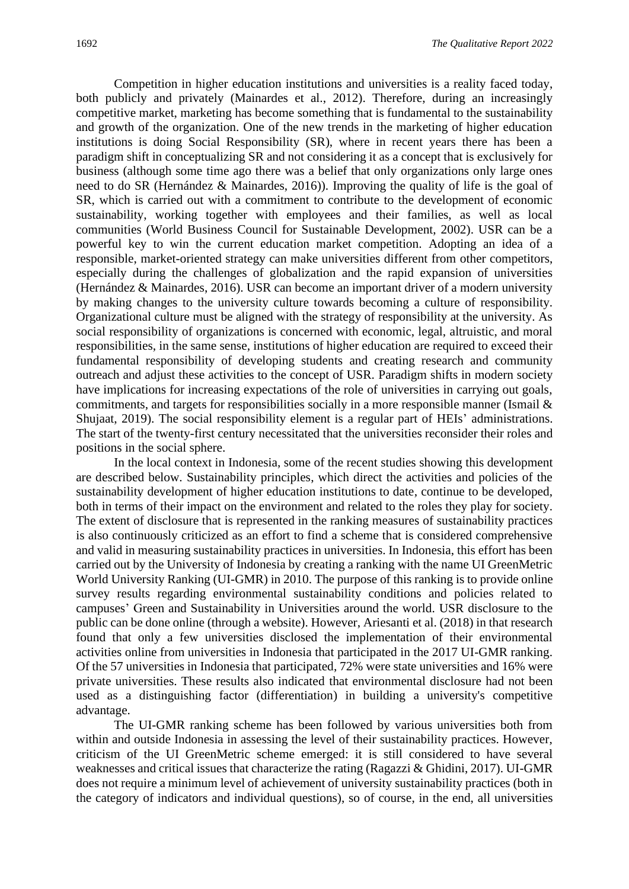Competition in higher education institutions and universities is a reality faced today, both publicly and privately (Mainardes et al., 2012). Therefore, during an increasingly competitive market, marketing has become something that is fundamental to the sustainability and growth of the organization. One of the new trends in the marketing of higher education institutions is doing Social Responsibility (SR), where in recent years there has been a paradigm shift in conceptualizing SR and not considering it as a concept that is exclusively for business (although some time ago there was a belief that only organizations only large ones need to do SR (Hernández & Mainardes, 2016)). Improving the quality of life is the goal of SR, which is carried out with a commitment to contribute to the development of economic sustainability, working together with employees and their families, as well as local communities (World Business Council for Sustainable Development, 2002). USR can be a powerful key to win the current education market competition. Adopting an idea of a responsible, market-oriented strategy can make universities different from other competitors, especially during the challenges of globalization and the rapid expansion of universities (Hernández & Mainardes, 2016). USR can become an important driver of a modern university by making changes to the university culture towards becoming a culture of responsibility. Organizational culture must be aligned with the strategy of responsibility at the university. As social responsibility of organizations is concerned with economic, legal, altruistic, and moral responsibilities, in the same sense, institutions of higher education are required to exceed their fundamental responsibility of developing students and creating research and community outreach and adjust these activities to the concept of USR. Paradigm shifts in modern society have implications for increasing expectations of the role of universities in carrying out goals, commitments, and targets for responsibilities socially in a more responsible manner (Ismail  $\&$ Shujaat, 2019). The social responsibility element is a regular part of HEIs' administrations. The start of the twenty-first century necessitated that the universities reconsider their roles and positions in the social sphere.

In the local context in Indonesia, some of the recent studies showing this development are described below. Sustainability principles, which direct the activities and policies of the sustainability development of higher education institutions to date, continue to be developed, both in terms of their impact on the environment and related to the roles they play for society. The extent of disclosure that is represented in the ranking measures of sustainability practices is also continuously criticized as an effort to find a scheme that is considered comprehensive and valid in measuring sustainability practices in universities. In Indonesia, this effort has been carried out by the University of Indonesia by creating a ranking with the name UI GreenMetric World University Ranking (UI-GMR) in 2010. The purpose of this ranking is to provide online survey results regarding environmental sustainability conditions and policies related to campuses' Green and Sustainability in Universities around the world. USR disclosure to the public can be done online (through a website). However, Ariesanti et al. (2018) in that research found that only a few universities disclosed the implementation of their environmental activities online from universities in Indonesia that participated in the 2017 UI-GMR ranking. Of the 57 universities in Indonesia that participated, 72% were state universities and 16% were private universities. These results also indicated that environmental disclosure had not been used as a distinguishing factor (differentiation) in building a university's competitive advantage.

The UI-GMR ranking scheme has been followed by various universities both from within and outside Indonesia in assessing the level of their sustainability practices. However, criticism of the UI GreenMetric scheme emerged: it is still considered to have several weaknesses and critical issues that characterize the rating (Ragazzi & Ghidini, 2017). UI-GMR does not require a minimum level of achievement of university sustainability practices (both in the category of indicators and individual questions), so of course, in the end, all universities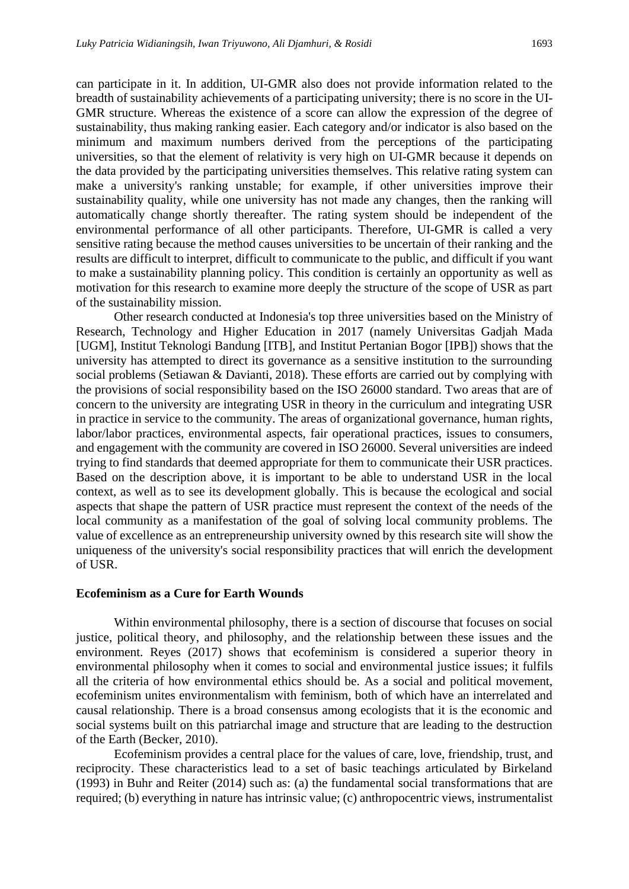can participate in it. In addition, UI-GMR also does not provide information related to the breadth of sustainability achievements of a participating university; there is no score in the UI-GMR structure. Whereas the existence of a score can allow the expression of the degree of sustainability, thus making ranking easier. Each category and/or indicator is also based on the minimum and maximum numbers derived from the perceptions of the participating universities, so that the element of relativity is very high on UI-GMR because it depends on the data provided by the participating universities themselves. This relative rating system can make a university's ranking unstable; for example, if other universities improve their sustainability quality, while one university has not made any changes, then the ranking will automatically change shortly thereafter. The rating system should be independent of the environmental performance of all other participants. Therefore, UI-GMR is called a very sensitive rating because the method causes universities to be uncertain of their ranking and the results are difficult to interpret, difficult to communicate to the public, and difficult if you want to make a sustainability planning policy. This condition is certainly an opportunity as well as motivation for this research to examine more deeply the structure of the scope of USR as part of the sustainability mission.

Other research conducted at Indonesia's top three universities based on the Ministry of Research, Technology and Higher Education in 2017 (namely Universitas Gadjah Mada [UGM], Institut Teknologi Bandung [ITB], and Institut Pertanian Bogor [IPB]) shows that the university has attempted to direct its governance as a sensitive institution to the surrounding social problems (Setiawan & Davianti, 2018). These efforts are carried out by complying with the provisions of social responsibility based on the ISO 26000 standard. Two areas that are of concern to the university are integrating USR in theory in the curriculum and integrating USR in practice in service to the community. The areas of organizational governance, human rights, labor/labor practices, environmental aspects, fair operational practices, issues to consumers, and engagement with the community are covered in ISO 26000. Several universities are indeed trying to find standards that deemed appropriate for them to communicate their USR practices. Based on the description above, it is important to be able to understand USR in the local context, as well as to see its development globally. This is because the ecological and social aspects that shape the pattern of USR practice must represent the context of the needs of the local community as a manifestation of the goal of solving local community problems. The value of excellence as an entrepreneurship university owned by this research site will show the uniqueness of the university's social responsibility practices that will enrich the development of USR.

#### **Ecofeminism as a Cure for Earth Wounds**

Within environmental philosophy, there is a section of discourse that focuses on social justice, political theory, and philosophy, and the relationship between these issues and the environment. Reyes (2017) shows that ecofeminism is considered a superior theory in environmental philosophy when it comes to social and environmental justice issues; it fulfils all the criteria of how environmental ethics should be. As a social and political movement, ecofeminism unites environmentalism with feminism, both of which have an interrelated and causal relationship. There is a broad consensus among ecologists that it is the economic and social systems built on this patriarchal image and structure that are leading to the destruction of the Earth (Becker, 2010).

Ecofeminism provides a central place for the values of care, love, friendship, trust, and reciprocity. These characteristics lead to a set of basic teachings articulated by Birkeland (1993) in Buhr and Reiter (2014) such as: (a) the fundamental social transformations that are required; (b) everything in nature has intrinsic value; (c) anthropocentric views, instrumentalist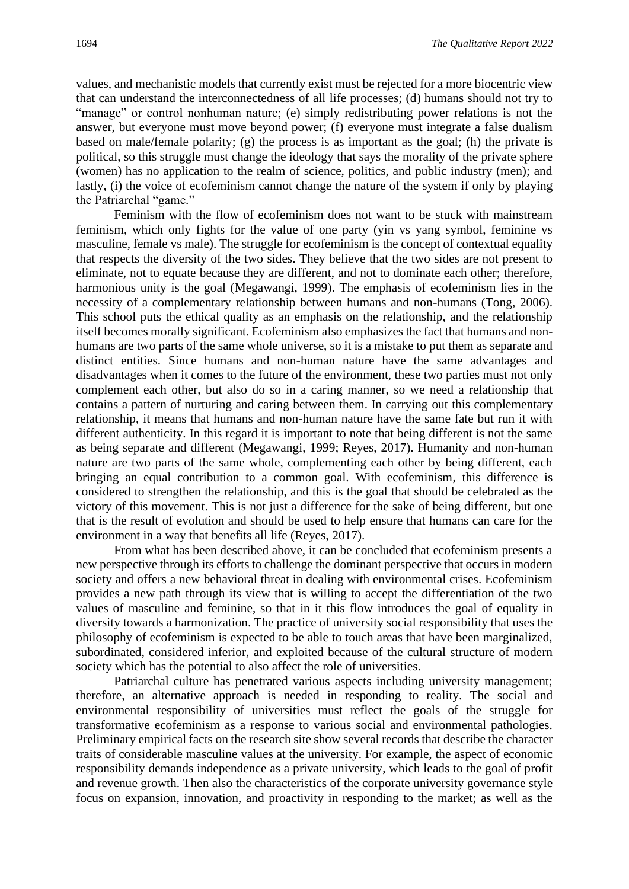values, and mechanistic models that currently exist must be rejected for a more biocentric view that can understand the interconnectedness of all life processes; (d) humans should not try to "manage" or control nonhuman nature; (e) simply redistributing power relations is not the answer, but everyone must move beyond power; (f) everyone must integrate a false dualism based on male/female polarity; (g) the process is as important as the goal; (h) the private is political, so this struggle must change the ideology that says the morality of the private sphere (women) has no application to the realm of science, politics, and public industry (men); and lastly, (i) the voice of ecofeminism cannot change the nature of the system if only by playing the Patriarchal "game."

Feminism with the flow of ecofeminism does not want to be stuck with mainstream feminism, which only fights for the value of one party (yin vs yang symbol, feminine vs masculine, female vs male). The struggle for ecofeminism is the concept of contextual equality that respects the diversity of the two sides. They believe that the two sides are not present to eliminate, not to equate because they are different, and not to dominate each other; therefore, harmonious unity is the goal (Megawangi, 1999). The emphasis of ecofeminism lies in the necessity of a complementary relationship between humans and non-humans (Tong, 2006). This school puts the ethical quality as an emphasis on the relationship, and the relationship itself becomes morally significant. Ecofeminism also emphasizes the fact that humans and nonhumans are two parts of the same whole universe, so it is a mistake to put them as separate and distinct entities. Since humans and non-human nature have the same advantages and disadvantages when it comes to the future of the environment, these two parties must not only complement each other, but also do so in a caring manner, so we need a relationship that contains a pattern of nurturing and caring between them. In carrying out this complementary relationship, it means that humans and non-human nature have the same fate but run it with different authenticity. In this regard it is important to note that being different is not the same as being separate and different (Megawangi, 1999; Reyes, 2017). Humanity and non-human nature are two parts of the same whole, complementing each other by being different, each bringing an equal contribution to a common goal. With ecofeminism, this difference is considered to strengthen the relationship, and this is the goal that should be celebrated as the victory of this movement. This is not just a difference for the sake of being different, but one that is the result of evolution and should be used to help ensure that humans can care for the environment in a way that benefits all life (Reyes, 2017).

From what has been described above, it can be concluded that ecofeminism presents a new perspective through its efforts to challenge the dominant perspective that occurs in modern society and offers a new behavioral threat in dealing with environmental crises. Ecofeminism provides a new path through its view that is willing to accept the differentiation of the two values of masculine and feminine, so that in it this flow introduces the goal of equality in diversity towards a harmonization. The practice of university social responsibility that uses the philosophy of ecofeminism is expected to be able to touch areas that have been marginalized, subordinated, considered inferior, and exploited because of the cultural structure of modern society which has the potential to also affect the role of universities.

Patriarchal culture has penetrated various aspects including university management; therefore, an alternative approach is needed in responding to reality. The social and environmental responsibility of universities must reflect the goals of the struggle for transformative ecofeminism as a response to various social and environmental pathologies. Preliminary empirical facts on the research site show several records that describe the character traits of considerable masculine values at the university. For example, the aspect of economic responsibility demands independence as a private university, which leads to the goal of profit and revenue growth. Then also the characteristics of the corporate university governance style focus on expansion, innovation, and proactivity in responding to the market; as well as the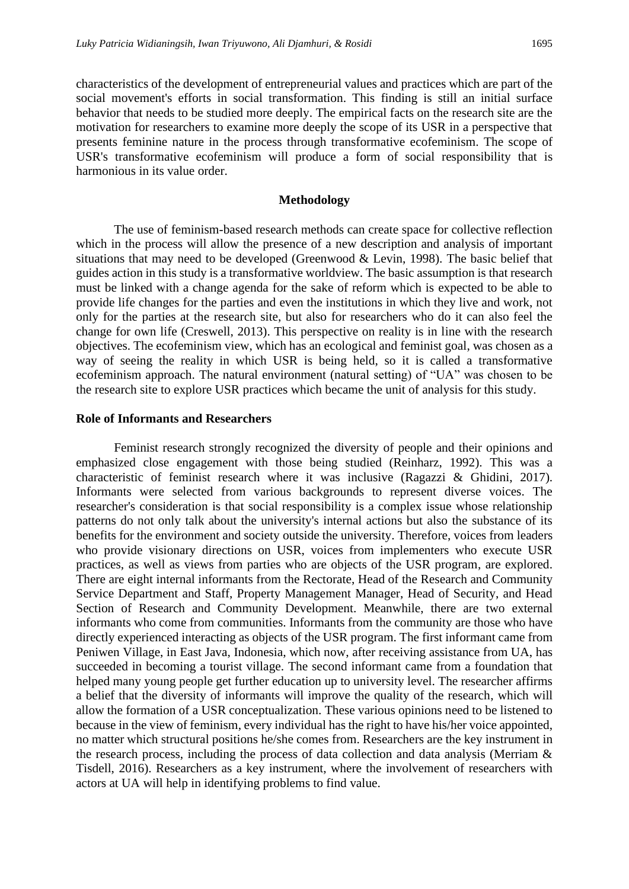characteristics of the development of entrepreneurial values and practices which are part of the social movement's efforts in social transformation. This finding is still an initial surface behavior that needs to be studied more deeply. The empirical facts on the research site are the motivation for researchers to examine more deeply the scope of its USR in a perspective that presents feminine nature in the process through transformative ecofeminism. The scope of USR's transformative ecofeminism will produce a form of social responsibility that is harmonious in its value order.

#### **Methodology**

The use of feminism-based research methods can create space for collective reflection which in the process will allow the presence of a new description and analysis of important situations that may need to be developed (Greenwood & Levin, 1998). The basic belief that guides action in this study is a transformative worldview. The basic assumption is that research must be linked with a change agenda for the sake of reform which is expected to be able to provide life changes for the parties and even the institutions in which they live and work, not only for the parties at the research site, but also for researchers who do it can also feel the change for own life (Creswell, 2013). This perspective on reality is in line with the research objectives. The ecofeminism view, which has an ecological and feminist goal, was chosen as a way of seeing the reality in which USR is being held, so it is called a transformative ecofeminism approach. The natural environment (natural setting) of "UA" was chosen to be the research site to explore USR practices which became the unit of analysis for this study.

#### **Role of Informants and Researchers**

Feminist research strongly recognized the diversity of people and their opinions and emphasized close engagement with those being studied (Reinharz, 1992). This was a characteristic of feminist research where it was inclusive (Ragazzi & Ghidini, 2017). Informants were selected from various backgrounds to represent diverse voices. The researcher's consideration is that social responsibility is a complex issue whose relationship patterns do not only talk about the university's internal actions but also the substance of its benefits for the environment and society outside the university. Therefore, voices from leaders who provide visionary directions on USR, voices from implementers who execute USR practices, as well as views from parties who are objects of the USR program, are explored. There are eight internal informants from the Rectorate, Head of the Research and Community Service Department and Staff, Property Management Manager, Head of Security, and Head Section of Research and Community Development. Meanwhile, there are two external informants who come from communities. Informants from the community are those who have directly experienced interacting as objects of the USR program. The first informant came from Peniwen Village, in East Java, Indonesia, which now, after receiving assistance from UA, has succeeded in becoming a tourist village. The second informant came from a foundation that helped many young people get further education up to university level. The researcher affirms a belief that the diversity of informants will improve the quality of the research, which will allow the formation of a USR conceptualization. These various opinions need to be listened to because in the view of feminism, every individual has the right to have his/her voice appointed, no matter which structural positions he/she comes from. Researchers are the key instrument in the research process, including the process of data collection and data analysis (Merriam & Tisdell, 2016). Researchers as a key instrument, where the involvement of researchers with actors at UA will help in identifying problems to find value.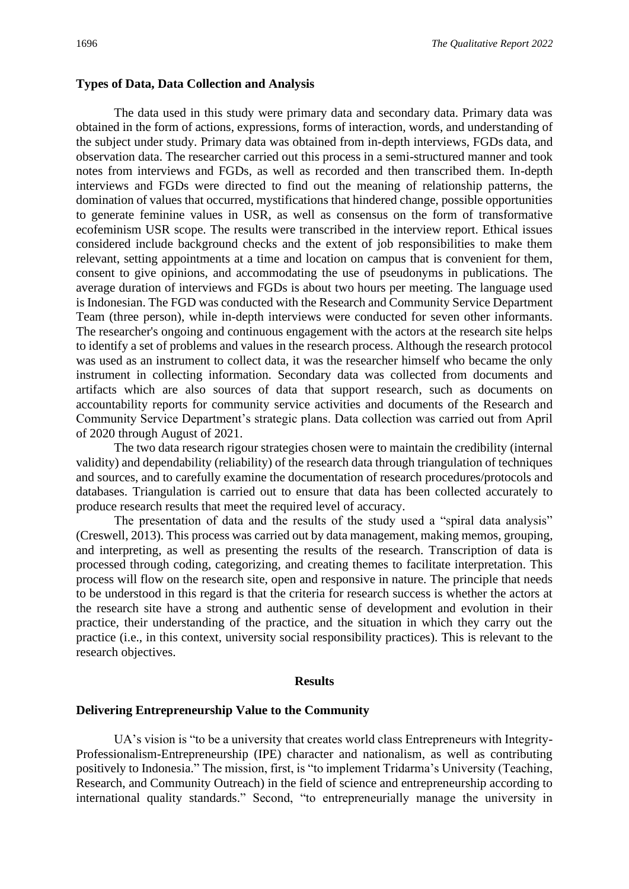#### **Types of Data, Data Collection and Analysis**

The data used in this study were primary data and secondary data. Primary data was obtained in the form of actions, expressions, forms of interaction, words, and understanding of the subject under study. Primary data was obtained from in-depth interviews, FGDs data, and observation data. The researcher carried out this process in a semi-structured manner and took notes from interviews and FGDs, as well as recorded and then transcribed them. In-depth interviews and FGDs were directed to find out the meaning of relationship patterns, the domination of values that occurred, mystifications that hindered change, possible opportunities to generate feminine values in USR, as well as consensus on the form of transformative ecofeminism USR scope. The results were transcribed in the interview report. Ethical issues considered include background checks and the extent of job responsibilities to make them relevant, setting appointments at a time and location on campus that is convenient for them, consent to give opinions, and accommodating the use of pseudonyms in publications. The average duration of interviews and FGDs is about two hours per meeting. The language used is Indonesian. The FGD was conducted with the Research and Community Service Department Team (three person), while in-depth interviews were conducted for seven other informants. The researcher's ongoing and continuous engagement with the actors at the research site helps to identify a set of problems and values in the research process. Although the research protocol was used as an instrument to collect data, it was the researcher himself who became the only instrument in collecting information. Secondary data was collected from documents and artifacts which are also sources of data that support research, such as documents on accountability reports for community service activities and documents of the Research and Community Service Department's strategic plans. Data collection was carried out from April of 2020 through August of 2021.

The two data research rigour strategies chosen were to maintain the credibility (internal validity) and dependability (reliability) of the research data through triangulation of techniques and sources, and to carefully examine the documentation of research procedures/protocols and databases. Triangulation is carried out to ensure that data has been collected accurately to produce research results that meet the required level of accuracy.

The presentation of data and the results of the study used a "spiral data analysis" (Creswell, 2013). This process was carried out by data management, making memos, grouping, and interpreting, as well as presenting the results of the research. Transcription of data is processed through coding, categorizing, and creating themes to facilitate interpretation. This process will flow on the research site, open and responsive in nature. The principle that needs to be understood in this regard is that the criteria for research success is whether the actors at the research site have a strong and authentic sense of development and evolution in their practice, their understanding of the practice, and the situation in which they carry out the practice (i.e., in this context, university social responsibility practices). This is relevant to the research objectives.

#### **Results**

#### **Delivering Entrepreneurship Value to the Community**

UA's vision is "to be a university that creates world class Entrepreneurs with Integrity-Professionalism-Entrepreneurship (IPE) character and nationalism, as well as contributing positively to Indonesia." The mission, first, is "to implement Tridarma's University (Teaching, Research, and Community Outreach) in the field of science and entrepreneurship according to international quality standards." Second, "to entrepreneurially manage the university in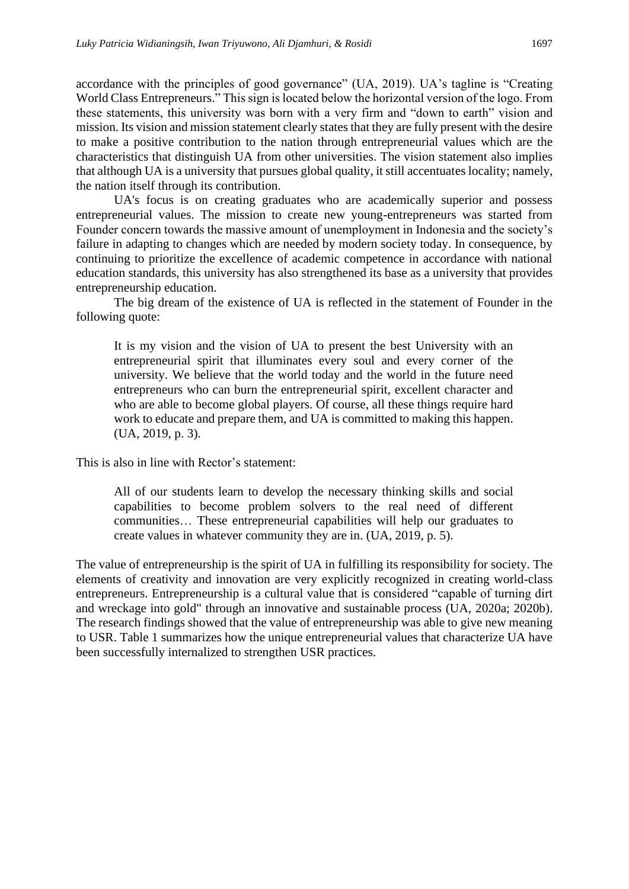accordance with the principles of good governance" (UA, 2019). UA's tagline is "Creating World Class Entrepreneurs." This sign is located below the horizontal version of the logo. From these statements, this university was born with a very firm and "down to earth" vision and mission. Its vision and mission statement clearly states that they are fully present with the desire to make a positive contribution to the nation through entrepreneurial values which are the characteristics that distinguish UA from other universities. The vision statement also implies that although UA is a university that pursues global quality, it still accentuates locality; namely, the nation itself through its contribution.

UA's focus is on creating graduates who are academically superior and possess entrepreneurial values. The mission to create new young-entrepreneurs was started from Founder concern towards the massive amount of unemployment in Indonesia and the society's failure in adapting to changes which are needed by modern society today. In consequence, by continuing to prioritize the excellence of academic competence in accordance with national education standards, this university has also strengthened its base as a university that provides entrepreneurship education.

The big dream of the existence of UA is reflected in the statement of Founder in the following quote:

It is my vision and the vision of UA to present the best University with an entrepreneurial spirit that illuminates every soul and every corner of the university. We believe that the world today and the world in the future need entrepreneurs who can burn the entrepreneurial spirit, excellent character and who are able to become global players. Of course, all these things require hard work to educate and prepare them, and UA is committed to making this happen. (UA, 2019, p. 3).

This is also in line with Rector's statement:

All of our students learn to develop the necessary thinking skills and social capabilities to become problem solvers to the real need of different communities… These entrepreneurial capabilities will help our graduates to create values in whatever community they are in. (UA, 2019, p. 5).

The value of entrepreneurship is the spirit of UA in fulfilling its responsibility for society. The elements of creativity and innovation are very explicitly recognized in creating world-class entrepreneurs. Entrepreneurship is a cultural value that is considered "capable of turning dirt and wreckage into gold" through an innovative and sustainable process (UA, 2020a; 2020b). The research findings showed that the value of entrepreneurship was able to give new meaning to USR. Table 1 summarizes how the unique entrepreneurial values that characterize UA have been successfully internalized to strengthen USR practices.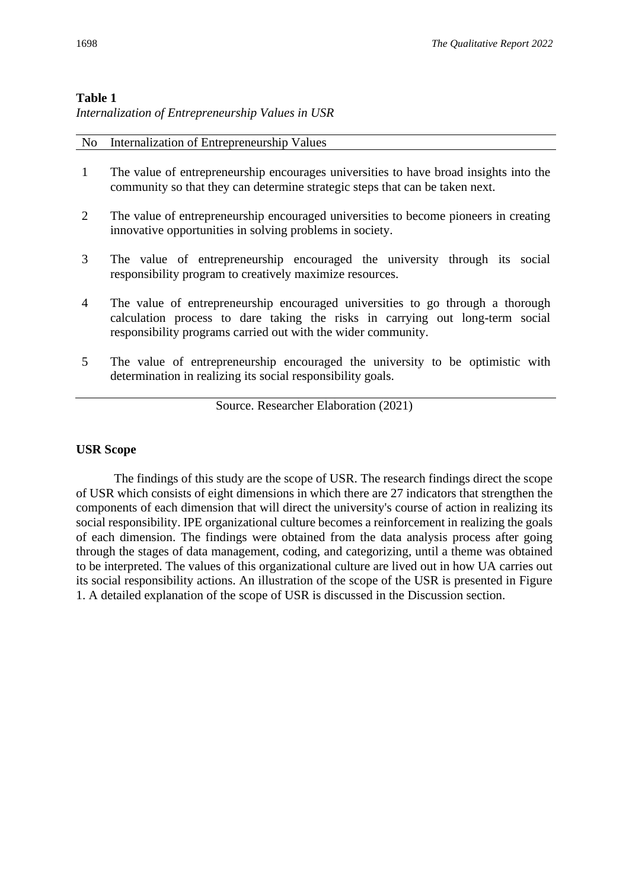#### **Table 1**

*Internalization of Entrepreneurship Values in USR*

No Internalization of Entrepreneurship Values

| The value of entrepreneurship encourages universities to have broad insights into the |
|---------------------------------------------------------------------------------------|
| community so that they can determine strategic steps that can be taken next.          |

- $2<sup>2</sup>$ The value of entrepreneurship encouraged universities to become pioneers in creating innovative opportunities in solving problems in society.
- 3 The value of entrepreneurship encouraged the university through its social responsibility program to creatively maximize resources.
- 4 The value of entrepreneurship encouraged universities to go through a thorough calculation process to dare taking the risks in carrying out long-term social responsibility programs carried out with the wider community.
- 5 The value of entrepreneurship encouraged the university to be optimistic with determination in realizing its social responsibility goals.

Source. Researcher Elaboration (2021)

#### **USR Scope**

The findings of this study are the scope of USR. The research findings direct the scope of USR which consists of eight dimensions in which there are 27 indicators that strengthen the components of each dimension that will direct the university's course of action in realizing its social responsibility. IPE organizational culture becomes a reinforcement in realizing the goals of each dimension. The findings were obtained from the data analysis process after going through the stages of data management, coding, and categorizing, until a theme was obtained to be interpreted. The values of this organizational culture are lived out in how UA carries out its social responsibility actions. An illustration of the scope of the USR is presented in Figure 1. A detailed explanation of the scope of USR is discussed in the Discussion section.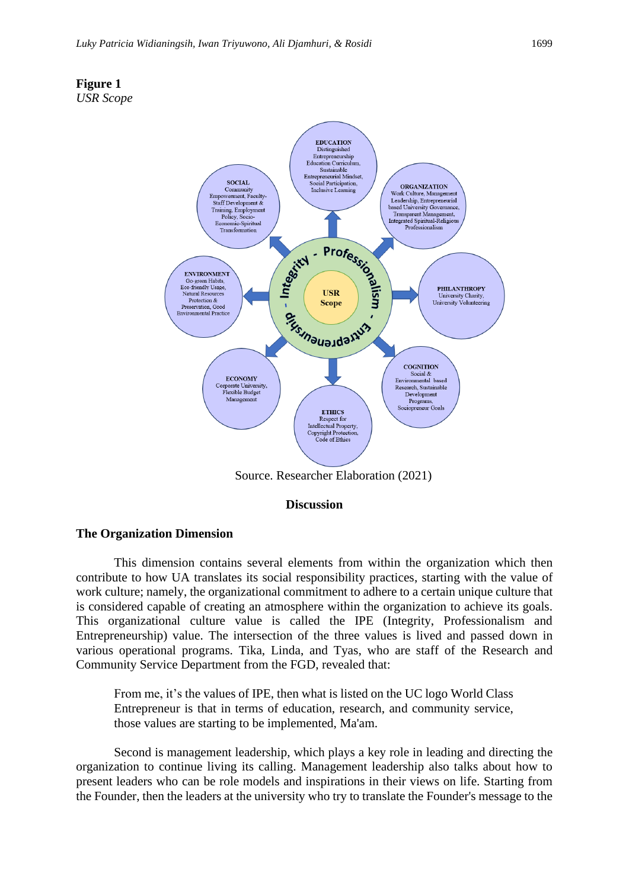



Source. Researcher Elaboration (2021)

#### **Discussion**

#### **The Organization Dimension**

This dimension contains several elements from within the organization which then contribute to how UA translates its social responsibility practices, starting with the value of work culture; namely, the organizational commitment to adhere to a certain unique culture that is considered capable of creating an atmosphere within the organization to achieve its goals. This organizational culture value is called the IPE (Integrity, Professionalism and Entrepreneurship) value. The intersection of the three values is lived and passed down in various operational programs. Tika, Linda, and Tyas, who are staff of the Research and Community Service Department from the FGD, revealed that:

From me, it's the values of IPE, then what is listed on the UC logo World Class Entrepreneur is that in terms of education, research, and community service, those values are starting to be implemented, Ma'am.

Second is management leadership, which plays a key role in leading and directing the organization to continue living its calling. Management leadership also talks about how to present leaders who can be role models and inspirations in their views on life. Starting from the Founder, then the leaders at the university who try to translate the Founder's message to the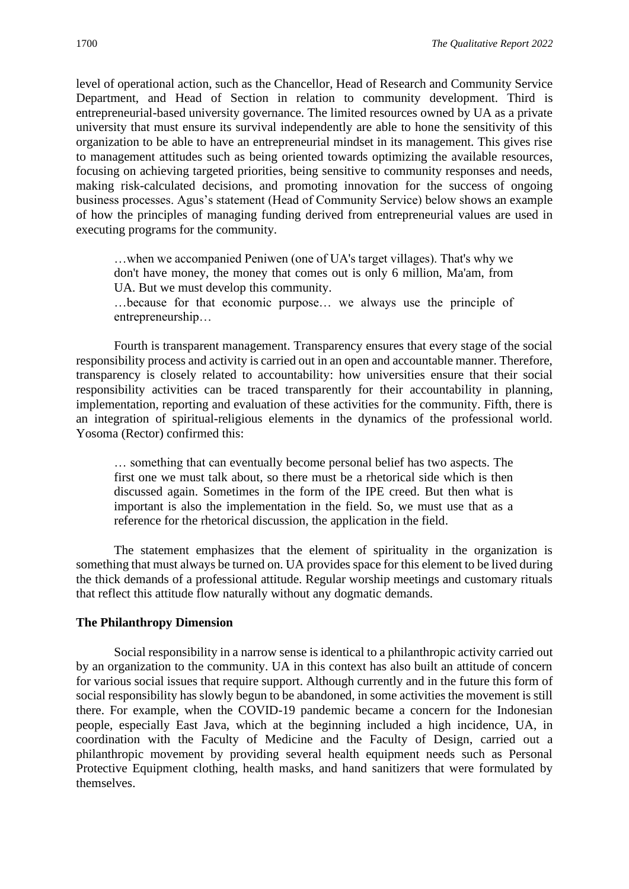level of operational action, such as the Chancellor, Head of Research and Community Service Department, and Head of Section in relation to community development. Third is entrepreneurial-based university governance. The limited resources owned by UA as a private university that must ensure its survival independently are able to hone the sensitivity of this organization to be able to have an entrepreneurial mindset in its management. This gives rise to management attitudes such as being oriented towards optimizing the available resources, focusing on achieving targeted priorities, being sensitive to community responses and needs, making risk-calculated decisions, and promoting innovation for the success of ongoing business processes. Agus's statement (Head of Community Service) below shows an example of how the principles of managing funding derived from entrepreneurial values are used in executing programs for the community.

…when we accompanied Peniwen (one of UA's target villages). That's why we don't have money, the money that comes out is only 6 million, Ma'am, from UA. But we must develop this community.

…because for that economic purpose… we always use the principle of entrepreneurship…

Fourth is transparent management. Transparency ensures that every stage of the social responsibility process and activity is carried out in an open and accountable manner. Therefore, transparency is closely related to accountability: how universities ensure that their social responsibility activities can be traced transparently for their accountability in planning, implementation, reporting and evaluation of these activities for the community. Fifth, there is an integration of spiritual-religious elements in the dynamics of the professional world. Yosoma (Rector) confirmed this:

… something that can eventually become personal belief has two aspects. The first one we must talk about, so there must be a rhetorical side which is then discussed again. Sometimes in the form of the IPE creed. But then what is important is also the implementation in the field. So, we must use that as a reference for the rhetorical discussion, the application in the field.

The statement emphasizes that the element of spirituality in the organization is something that must always be turned on. UA provides space for this element to be lived during the thick demands of a professional attitude. Regular worship meetings and customary rituals that reflect this attitude flow naturally without any dogmatic demands.

#### **The Philanthropy Dimension**

Social responsibility in a narrow sense is identical to a philanthropic activity carried out by an organization to the community. UA in this context has also built an attitude of concern for various social issues that require support. Although currently and in the future this form of social responsibility has slowly begun to be abandoned, in some activities the movement is still there. For example, when the COVID-19 pandemic became a concern for the Indonesian people, especially East Java, which at the beginning included a high incidence, UA, in coordination with the Faculty of Medicine and the Faculty of Design, carried out a philanthropic movement by providing several health equipment needs such as Personal Protective Equipment clothing, health masks, and hand sanitizers that were formulated by themselves.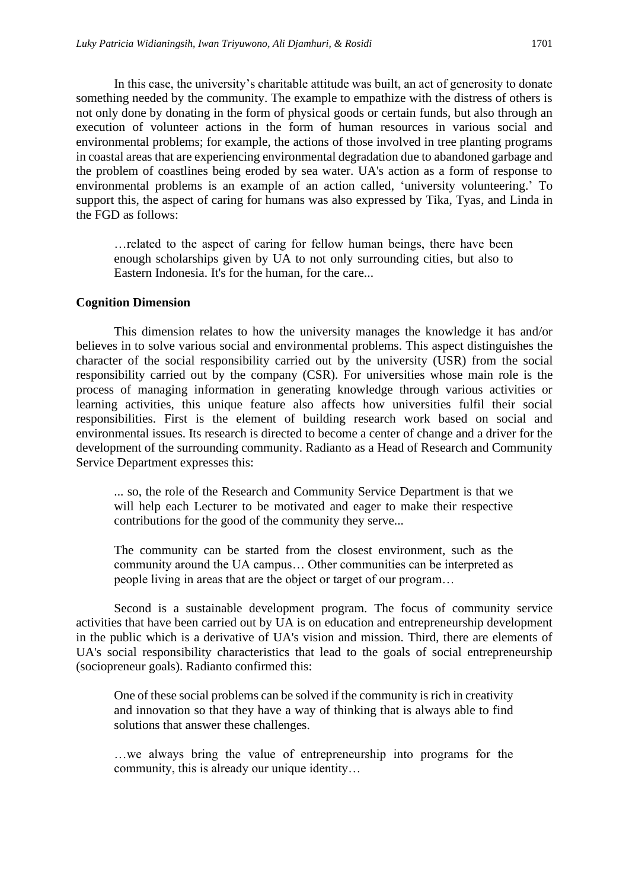In this case, the university's charitable attitude was built, an act of generosity to donate something needed by the community. The example to empathize with the distress of others is not only done by donating in the form of physical goods or certain funds, but also through an execution of volunteer actions in the form of human resources in various social and environmental problems; for example, the actions of those involved in tree planting programs in coastal areas that are experiencing environmental degradation due to abandoned garbage and the problem of coastlines being eroded by sea water. UA's action as a form of response to environmental problems is an example of an action called, 'university volunteering.' To support this, the aspect of caring for humans was also expressed by Tika, Tyas, and Linda in the FGD as follows:

…related to the aspect of caring for fellow human beings, there have been enough scholarships given by UA to not only surrounding cities, but also to Eastern Indonesia. It's for the human, for the care...

#### **Cognition Dimension**

This dimension relates to how the university manages the knowledge it has and/or believes in to solve various social and environmental problems. This aspect distinguishes the character of the social responsibility carried out by the university (USR) from the social responsibility carried out by the company (CSR). For universities whose main role is the process of managing information in generating knowledge through various activities or learning activities, this unique feature also affects how universities fulfil their social responsibilities. First is the element of building research work based on social and environmental issues. Its research is directed to become a center of change and a driver for the development of the surrounding community. Radianto as a Head of Research and Community Service Department expresses this:

... so, the role of the Research and Community Service Department is that we will help each Lecturer to be motivated and eager to make their respective contributions for the good of the community they serve...

The community can be started from the closest environment, such as the community around the UA campus… Other communities can be interpreted as people living in areas that are the object or target of our program…

Second is a sustainable development program. The focus of community service activities that have been carried out by UA is on education and entrepreneurship development in the public which is a derivative of UA's vision and mission. Third, there are elements of UA's social responsibility characteristics that lead to the goals of social entrepreneurship (sociopreneur goals). Radianto confirmed this:

One of these social problems can be solved if the community is rich in creativity and innovation so that they have a way of thinking that is always able to find solutions that answer these challenges.

…we always bring the value of entrepreneurship into programs for the community, this is already our unique identity…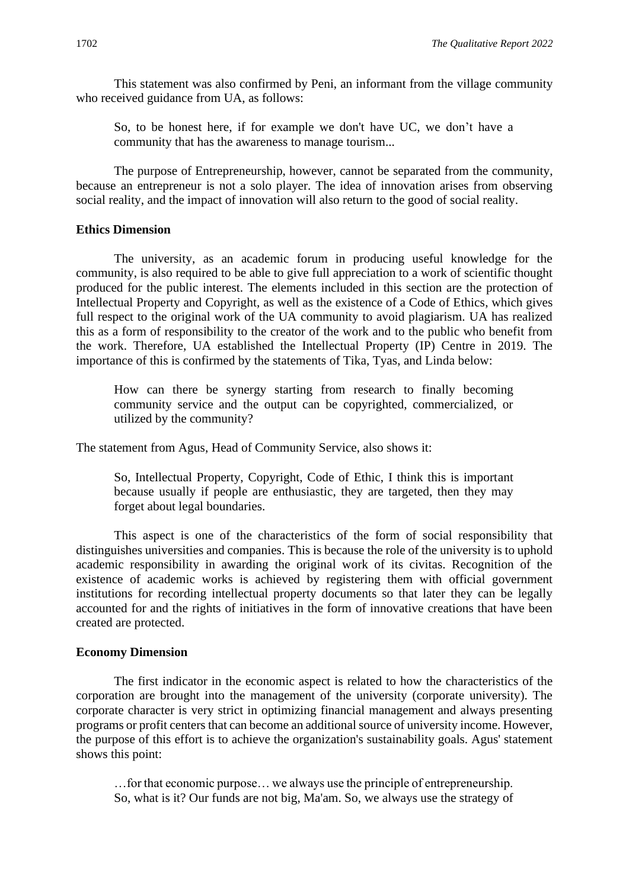This statement was also confirmed by Peni, an informant from the village community who received guidance from UA, as follows:

So, to be honest here, if for example we don't have UC, we don't have a community that has the awareness to manage tourism...

The purpose of Entrepreneurship, however, cannot be separated from the community, because an entrepreneur is not a solo player. The idea of innovation arises from observing social reality, and the impact of innovation will also return to the good of social reality.

#### **Ethics Dimension**

The university, as an academic forum in producing useful knowledge for the community, is also required to be able to give full appreciation to a work of scientific thought produced for the public interest. The elements included in this section are the protection of Intellectual Property and Copyright, as well as the existence of a Code of Ethics, which gives full respect to the original work of the UA community to avoid plagiarism. UA has realized this as a form of responsibility to the creator of the work and to the public who benefit from the work. Therefore, UA established the Intellectual Property (IP) Centre in 2019. The importance of this is confirmed by the statements of Tika, Tyas, and Linda below:

How can there be synergy starting from research to finally becoming community service and the output can be copyrighted, commercialized, or utilized by the community?

The statement from Agus, Head of Community Service, also shows it:

So, Intellectual Property, Copyright, Code of Ethic, I think this is important because usually if people are enthusiastic, they are targeted, then they may forget about legal boundaries.

This aspect is one of the characteristics of the form of social responsibility that distinguishes universities and companies. This is because the role of the university is to uphold academic responsibility in awarding the original work of its civitas. Recognition of the existence of academic works is achieved by registering them with official government institutions for recording intellectual property documents so that later they can be legally accounted for and the rights of initiatives in the form of innovative creations that have been created are protected.

#### **Economy Dimension**

The first indicator in the economic aspect is related to how the characteristics of the corporation are brought into the management of the university (corporate university). The corporate character is very strict in optimizing financial management and always presenting programs or profit centers that can become an additional source of university income. However, the purpose of this effort is to achieve the organization's sustainability goals. Agus' statement shows this point:

…for that economic purpose… we always use the principle of entrepreneurship. So, what is it? Our funds are not big, Ma'am. So, we always use the strategy of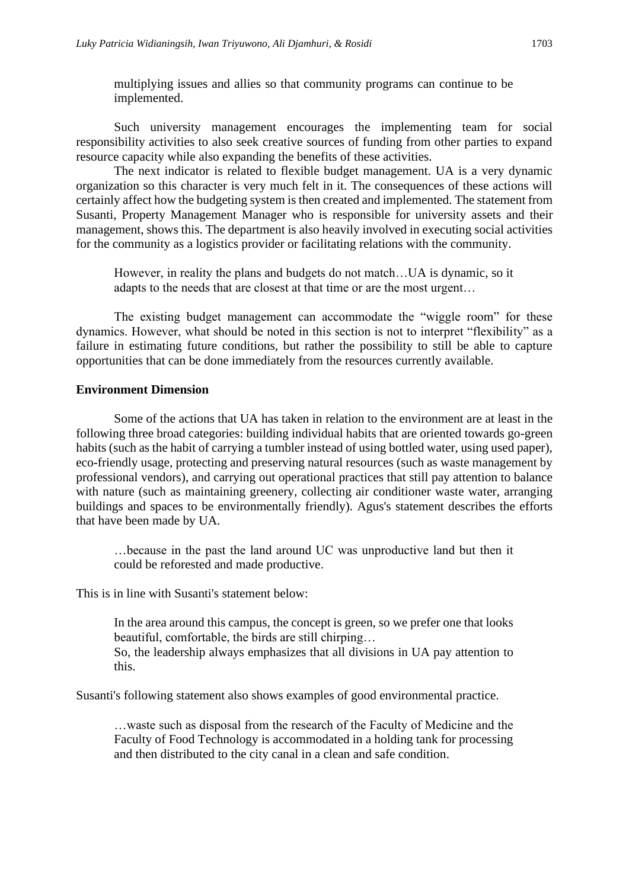multiplying issues and allies so that community programs can continue to be implemented.

Such university management encourages the implementing team for social responsibility activities to also seek creative sources of funding from other parties to expand resource capacity while also expanding the benefits of these activities.

The next indicator is related to flexible budget management. UA is a very dynamic organization so this character is very much felt in it. The consequences of these actions will certainly affect how the budgeting system is then created and implemented. The statement from Susanti, Property Management Manager who is responsible for university assets and their management, shows this. The department is also heavily involved in executing social activities for the community as a logistics provider or facilitating relations with the community.

However, in reality the plans and budgets do not match…UA is dynamic, so it adapts to the needs that are closest at that time or are the most urgent…

The existing budget management can accommodate the "wiggle room" for these dynamics. However, what should be noted in this section is not to interpret "flexibility" as a failure in estimating future conditions, but rather the possibility to still be able to capture opportunities that can be done immediately from the resources currently available.

#### **Environment Dimension**

Some of the actions that UA has taken in relation to the environment are at least in the following three broad categories: building individual habits that are oriented towards go-green habits (such as the habit of carrying a tumbler instead of using bottled water, using used paper), eco-friendly usage, protecting and preserving natural resources (such as waste management by professional vendors), and carrying out operational practices that still pay attention to balance with nature (such as maintaining greenery, collecting air conditioner waste water, arranging buildings and spaces to be environmentally friendly). Agus's statement describes the efforts that have been made by UA.

…because in the past the land around UC was unproductive land but then it could be reforested and made productive.

This is in line with Susanti's statement below:

In the area around this campus, the concept is green, so we prefer one that looks beautiful, comfortable, the birds are still chirping…

So, the leadership always emphasizes that all divisions in UA pay attention to this.

Susanti's following statement also shows examples of good environmental practice.

…waste such as disposal from the research of the Faculty of Medicine and the Faculty of Food Technology is accommodated in a holding tank for processing and then distributed to the city canal in a clean and safe condition.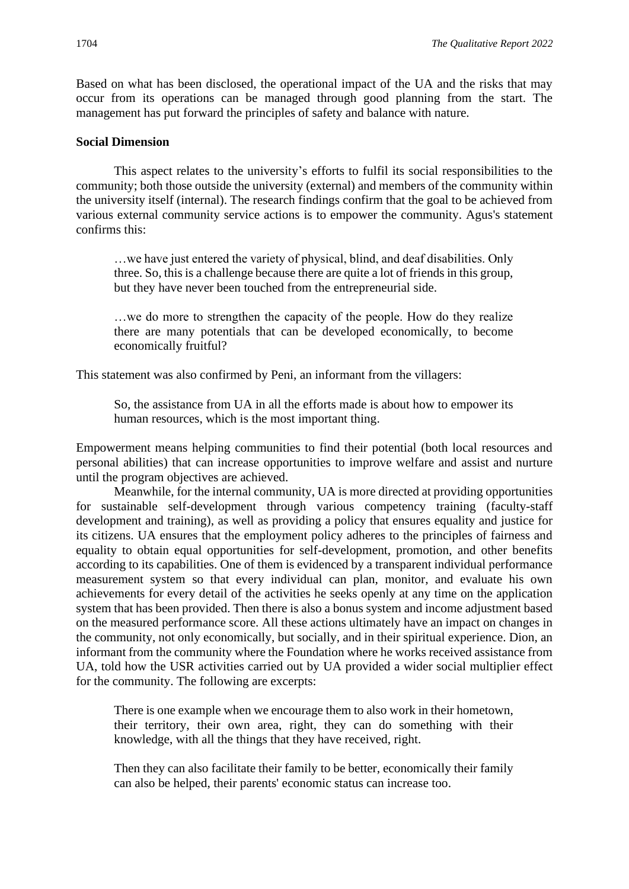Based on what has been disclosed, the operational impact of the UA and the risks that may occur from its operations can be managed through good planning from the start. The management has put forward the principles of safety and balance with nature.

#### **Social Dimension**

This aspect relates to the university's efforts to fulfil its social responsibilities to the community; both those outside the university (external) and members of the community within the university itself (internal). The research findings confirm that the goal to be achieved from various external community service actions is to empower the community. Agus's statement confirms this:

…we have just entered the variety of physical, blind, and deaf disabilities. Only three. So, this is a challenge because there are quite a lot of friends in this group, but they have never been touched from the entrepreneurial side.

…we do more to strengthen the capacity of the people. How do they realize there are many potentials that can be developed economically, to become economically fruitful?

This statement was also confirmed by Peni, an informant from the villagers:

So, the assistance from UA in all the efforts made is about how to empower its human resources, which is the most important thing.

Empowerment means helping communities to find their potential (both local resources and personal abilities) that can increase opportunities to improve welfare and assist and nurture until the program objectives are achieved.

Meanwhile, for the internal community, UA is more directed at providing opportunities for sustainable self-development through various competency training (faculty-staff development and training), as well as providing a policy that ensures equality and justice for its citizens. UA ensures that the employment policy adheres to the principles of fairness and equality to obtain equal opportunities for self-development, promotion, and other benefits according to its capabilities. One of them is evidenced by a transparent individual performance measurement system so that every individual can plan, monitor, and evaluate his own achievements for every detail of the activities he seeks openly at any time on the application system that has been provided. Then there is also a bonus system and income adjustment based on the measured performance score. All these actions ultimately have an impact on changes in the community, not only economically, but socially, and in their spiritual experience. Dion, an informant from the community where the Foundation where he works received assistance from UA, told how the USR activities carried out by UA provided a wider social multiplier effect for the community. The following are excerpts:

There is one example when we encourage them to also work in their hometown, their territory, their own area, right, they can do something with their knowledge, with all the things that they have received, right.

Then they can also facilitate their family to be better, economically their family can also be helped, their parents' economic status can increase too.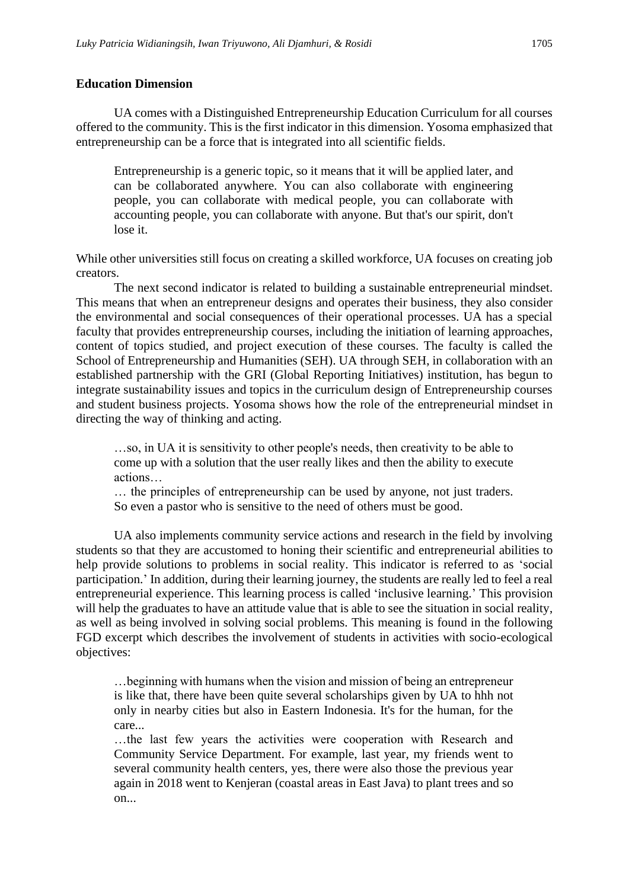UA comes with a Distinguished Entrepreneurship Education Curriculum for all courses offered to the community. This is the first indicator in this dimension. Yosoma emphasized that entrepreneurship can be a force that is integrated into all scientific fields.

Entrepreneurship is a generic topic, so it means that it will be applied later, and can be collaborated anywhere. You can also collaborate with engineering people, you can collaborate with medical people, you can collaborate with accounting people, you can collaborate with anyone. But that's our spirit, don't lose it.

While other universities still focus on creating a skilled workforce, UA focuses on creating job creators.

The next second indicator is related to building a sustainable entrepreneurial mindset. This means that when an entrepreneur designs and operates their business, they also consider the environmental and social consequences of their operational processes. UA has a special faculty that provides entrepreneurship courses, including the initiation of learning approaches, content of topics studied, and project execution of these courses. The faculty is called the School of Entrepreneurship and Humanities (SEH). UA through SEH, in collaboration with an established partnership with the GRI (Global Reporting Initiatives) institution, has begun to integrate sustainability issues and topics in the curriculum design of Entrepreneurship courses and student business projects. Yosoma shows how the role of the entrepreneurial mindset in directing the way of thinking and acting.

…so, in UA it is sensitivity to other people's needs, then creativity to be able to come up with a solution that the user really likes and then the ability to execute actions…

… the principles of entrepreneurship can be used by anyone, not just traders. So even a pastor who is sensitive to the need of others must be good.

UA also implements community service actions and research in the field by involving students so that they are accustomed to honing their scientific and entrepreneurial abilities to help provide solutions to problems in social reality. This indicator is referred to as 'social participation.' In addition, during their learning journey, the students are really led to feel a real entrepreneurial experience. This learning process is called 'inclusive learning.' This provision will help the graduates to have an attitude value that is able to see the situation in social reality, as well as being involved in solving social problems. This meaning is found in the following FGD excerpt which describes the involvement of students in activities with socio-ecological objectives:

…beginning with humans when the vision and mission of being an entrepreneur is like that, there have been quite several scholarships given by UA to hhh not only in nearby cities but also in Eastern Indonesia. It's for the human, for the care...

…the last few years the activities were cooperation with Research and Community Service Department. For example, last year, my friends went to several community health centers, yes, there were also those the previous year again in 2018 went to Kenjeran (coastal areas in East Java) to plant trees and so on...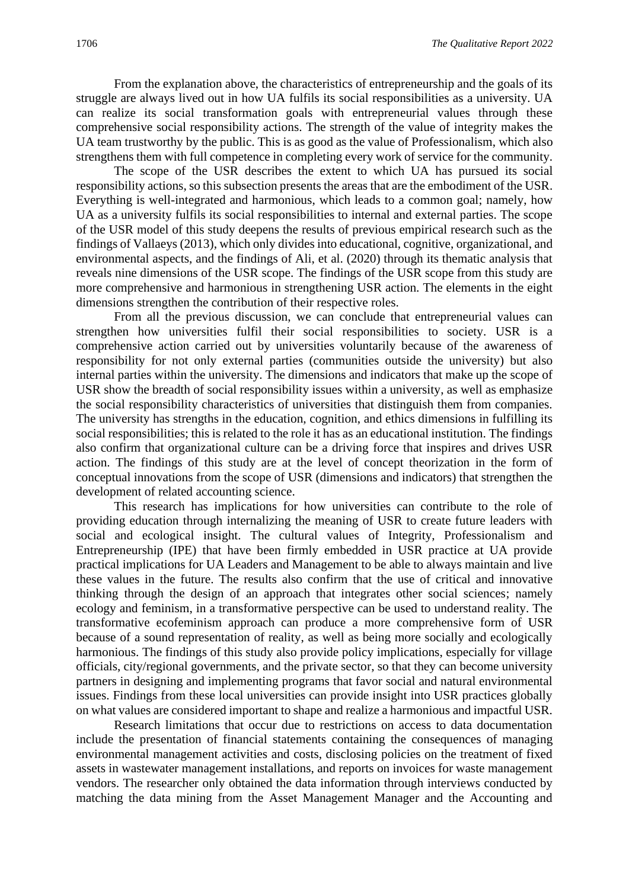From the explanation above, the characteristics of entrepreneurship and the goals of its struggle are always lived out in how UA fulfils its social responsibilities as a university. UA can realize its social transformation goals with entrepreneurial values through these comprehensive social responsibility actions. The strength of the value of integrity makes the UA team trustworthy by the public. This is as good as the value of Professionalism, which also strengthens them with full competence in completing every work of service for the community.

The scope of the USR describes the extent to which UA has pursued its social responsibility actions, so this subsection presents the areas that are the embodiment of the USR. Everything is well-integrated and harmonious, which leads to a common goal; namely, how UA as a university fulfils its social responsibilities to internal and external parties. The scope of the USR model of this study deepens the results of previous empirical research such as the findings of Vallaeys (2013), which only divides into educational, cognitive, organizational, and environmental aspects, and the findings of Ali, et al. (2020) through its thematic analysis that reveals nine dimensions of the USR scope. The findings of the USR scope from this study are more comprehensive and harmonious in strengthening USR action. The elements in the eight dimensions strengthen the contribution of their respective roles.

From all the previous discussion, we can conclude that entrepreneurial values can strengthen how universities fulfil their social responsibilities to society. USR is a comprehensive action carried out by universities voluntarily because of the awareness of responsibility for not only external parties (communities outside the university) but also internal parties within the university. The dimensions and indicators that make up the scope of USR show the breadth of social responsibility issues within a university, as well as emphasize the social responsibility characteristics of universities that distinguish them from companies. The university has strengths in the education, cognition, and ethics dimensions in fulfilling its social responsibilities; this is related to the role it has as an educational institution. The findings also confirm that organizational culture can be a driving force that inspires and drives USR action. The findings of this study are at the level of concept theorization in the form of conceptual innovations from the scope of USR (dimensions and indicators) that strengthen the development of related accounting science.

This research has implications for how universities can contribute to the role of providing education through internalizing the meaning of USR to create future leaders with social and ecological insight. The cultural values of Integrity, Professionalism and Entrepreneurship (IPE) that have been firmly embedded in USR practice at UA provide practical implications for UA Leaders and Management to be able to always maintain and live these values in the future. The results also confirm that the use of critical and innovative thinking through the design of an approach that integrates other social sciences; namely ecology and feminism, in a transformative perspective can be used to understand reality. The transformative ecofeminism approach can produce a more comprehensive form of USR because of a sound representation of reality, as well as being more socially and ecologically harmonious. The findings of this study also provide policy implications, especially for village officials, city/regional governments, and the private sector, so that they can become university partners in designing and implementing programs that favor social and natural environmental issues. Findings from these local universities can provide insight into USR practices globally on what values are considered important to shape and realize a harmonious and impactful USR.

Research limitations that occur due to restrictions on access to data documentation include the presentation of financial statements containing the consequences of managing environmental management activities and costs, disclosing policies on the treatment of fixed assets in wastewater management installations, and reports on invoices for waste management vendors. The researcher only obtained the data information through interviews conducted by matching the data mining from the Asset Management Manager and the Accounting and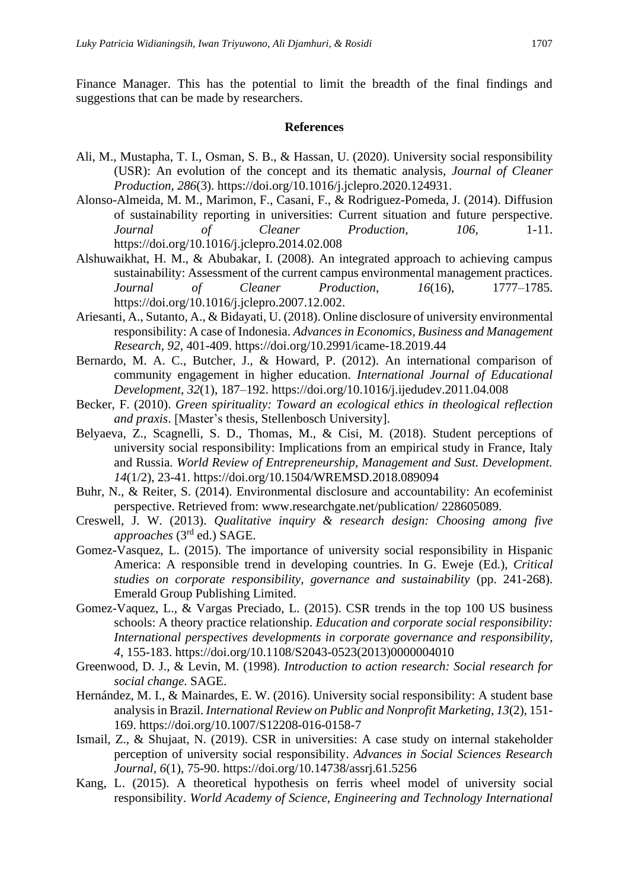Finance Manager. This has the potential to limit the breadth of the final findings and suggestions that can be made by researchers.

#### **References**

- Ali, M., Mustapha, T. I., Osman, S. B., & Hassan, U. (2020). University social responsibility (USR): An evolution of the concept and its thematic analysis, *Journal of Cleaner Production*, *286*(3). https://doi.org/10.1016/j.jclepro.2020.124931.
- Alonso-Almeida, M. M., Marimon, F., Casani, F., & Rodriguez-Pomeda, J. (2014). Diffusion of sustainability reporting in universities: Current situation and future perspective. *Journal of Cleaner Production, 106,* 1-11. https://doi.org/10.1016/j.jclepro.2014.02.008
- Alshuwaikhat, H. M., & Abubakar, I. (2008). An integrated approach to achieving campus sustainability: Assessment of the current campus environmental management practices. *Journal of Cleaner Production*, *16*(16), 1777–1785. https://doi.org/10.1016/j.jclepro.2007.12.002.
- Ariesanti, A., Sutanto, A., & Bidayati, U. (2018). Online disclosure of university environmental responsibility: A case of Indonesia. *Advances in Economics, Business and Management Research, 92*, 401-409. https://doi.org/10.2991/icame-18.2019.44
- Bernardo, M. A. C., Butcher, J., & Howard, P. (2012). An international comparison of community engagement in higher education. *International Journal of Educational Development*, *32*(1), 187–192. https://doi.org/10.1016/j.ijedudev.2011.04.008
- Becker, F. (2010). *Green spirituality: Toward an ecological ethics in theological reflection and praxis*. [Master's thesis, Stellenbosch University].
- Belyaeva, Z., Scagnelli, S. D., Thomas, M., & Cisi, M. (2018). Student perceptions of university social responsibility: Implications from an empirical study in France, Italy and Russia. *World Review of Entrepreneurship, Management and Sust. Development. 14*(1/2), 23-41. https://doi.org/10.1504/WREMSD.2018.089094
- Buhr, N., & Reiter, S. (2014). Environmental disclosure and accountability: An ecofeminist perspective. Retrieved from: www.researchgate.net/publication/ 228605089.
- Creswell, J. W. (2013). *Qualitative inquiry & research design: Choosing among five approaches* (3 rd ed.) SAGE.
- Gomez-Vasquez, L. (2015). The importance of university social responsibility in Hispanic America: A responsible trend in developing countries. In G. Eweje (Ed.), *Critical studies on corporate responsibility, governance and sustainability* (pp. 241-268). Emerald Group Publishing Limited.
- Gomez-Vaquez, L., & Vargas Preciado, L. (2015). CSR trends in the top 100 US business schools: A theory practice relationship. *Education and corporate social responsibility: International perspectives developments in corporate governance and responsibility*, *4*, 155-183. https://doi.org/10.1108/S2043-0523(2013)0000004010
- Greenwood, D. J., & Levin, M. (1998). *Introduction to action research: Social research for social change*. SAGE.
- Hernández, M. I., & Mainardes, E. W. (2016). University social responsibility: A student base analysis in Brazil. *International Review on Public and Nonprofit Marketing, 13*(2), 151- 169. https://doi.org/10.1007/S12208-016-0158-7
- Ismail, Z., & Shujaat, N. (2019). CSR in universities: A case study on internal stakeholder perception of university social responsibility. *Advances in Social Sciences Research Journal, 6*(1), 75-90. https://doi.org/10.14738/assrj.61.5256
- Kang, L. (2015). A theoretical hypothesis on ferris wheel model of university social responsibility. *World Academy of Science, Engineering and Technology International*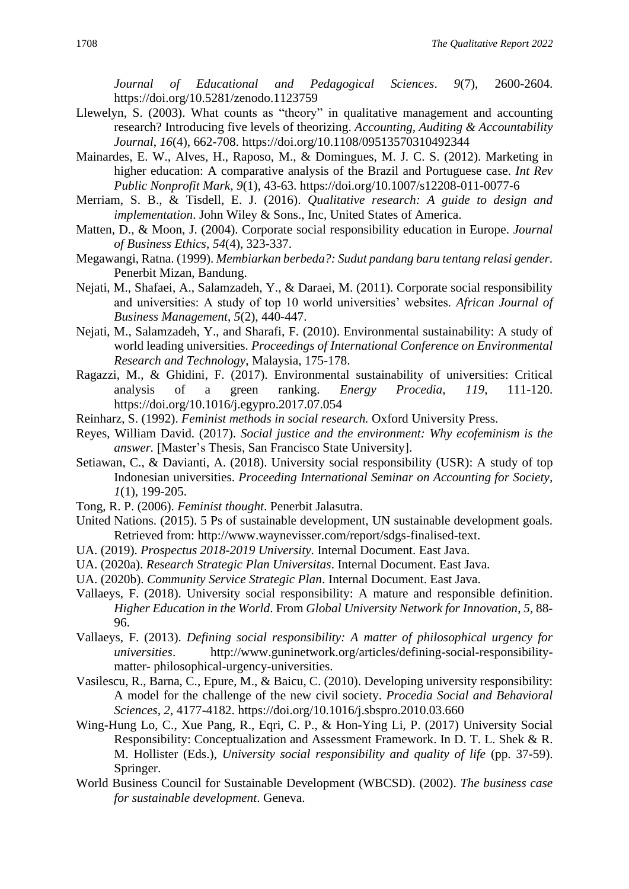*Journal of Educational and Pedagogical Sciences*. *9*(7), 2600-2604. https://doi.org/10.5281/zenodo.1123759

- Llewelyn, S. (2003). What counts as "theory" in qualitative management and accounting research? Introducing five levels of theorizing. *Accounting, Auditing & Accountability Journal*, *16*(4), 662-708. https://doi.org/10.1108/09513570310492344
- Mainardes, E. W., Alves, H., Raposo, M., & Domingues, M. J. C. S. (2012). Marketing in higher education: A comparative analysis of the Brazil and Portuguese case. *Int Rev Public Nonprofit Mark, 9*(1)*,* 43-63. https://doi.org/10.1007/s12208-011-0077-6
- Merriam, S. B., & Tisdell, E. J. (2016). *Qualitative research: A guide to design and implementation*. John Wiley & Sons., Inc, United States of America.
- Matten, D., & Moon, J. (2004). Corporate social responsibility education in Europe. *Journal of Business Ethics, 54*(4), 323-337.
- Megawangi, Ratna. (1999). *Membiarkan berbeda?: Sudut pandang baru tentang relasi gender*. Penerbit Mizan, Bandung.
- Nejati, M., Shafaei, A., Salamzadeh, Y., & Daraei, M. (2011). Corporate social responsibility and universities: A study of top 10 world universities' websites. *African Journal of Business Management*, *5*(2), 440-447.
- Nejati, M., Salamzadeh, Y., and Sharafi, F. (2010). Environmental sustainability: A study of world leading universities. *Proceedings of International Conference on Environmental Research and Technology*, Malaysia, 175-178.
- Ragazzi, M., & Ghidini, F. (2017). Environmental sustainability of universities: Critical analysis of a green ranking. *Energy Procedia*, *119*, 111-120. https://doi.org/10.1016/j.egypro.2017.07.054
- Reinharz, S. (1992). *Feminist methods in social research.* Oxford University Press.
- Reyes, William David. (2017). *Social justice and the environment: Why ecofeminism is the answer.* [Master's Thesis, San Francisco State University].
- Setiawan, C., & Davianti, A. (2018). University social responsibility (USR): A study of top Indonesian universities. *Proceeding International Seminar on Accounting for Society, 1*(1), 199-205.
- Tong, R. P. (2006). *Feminist thought*. Penerbit Jalasutra.
- United Nations. (2015). 5 Ps of sustainable development, UN sustainable development goals. Retrieved from: http://www.waynevisser.com/report/sdgs-finalised-text.
- UA. (2019). *Prospectus 2018-2019 University*. Internal Document. East Java.
- UA. (2020a). *Research Strategic Plan Universitas*. Internal Document. East Java.
- UA. (2020b). *Community Service Strategic Plan*. Internal Document. East Java.
- Vallaeys, F. (2018). University social responsibility: A mature and responsible definition. *Higher Education in the World*. From *Global University Network for Innovation*, *5,* 88- 96.
- Vallaeys, F. (2013). *Defining social responsibility: A matter of philosophical urgency for universities*. http://www.guninetwork.org/articles/defining-social-responsibilitymatter- philosophical-urgency-universities.
- Vasilescu, R., Barna, C., Epure, M., & Baicu, C. (2010). Developing university responsibility: A model for the challenge of the new civil society. *Procedia Social and Behavioral Sciences*, *2,* 4177-4182. https://doi.org/10.1016/j.sbspro.2010.03.660
- Wing-Hung Lo, C., Xue Pang, R., Eqri, C. P., & Hon-Ying Li, P. (2017) University Social Responsibility: Conceptualization and Assessment Framework. In D. T. L. Shek & R. M. Hollister (Eds.), *University social responsibility and quality of life* (pp. 37-59). Springer.
- World Business Council for Sustainable Development (WBCSD). (2002). *The business case for sustainable development*. Geneva.